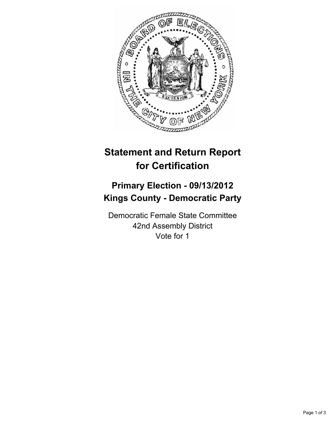

## **Statement and Return Report for Certification**

## **Primary Election - 09/13/2012 Kings County - Democratic Party**

Democratic Female State Committee 42nd Assembly District Vote for 1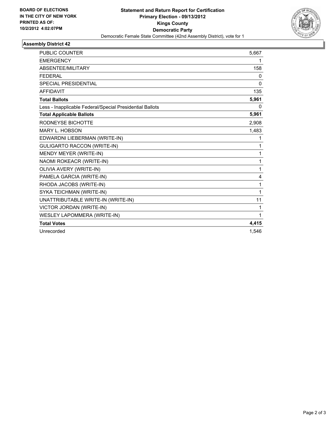

## **Assembly District 42**

| PUBLIC COUNTER                                           | 5,667 |
|----------------------------------------------------------|-------|
| <b>EMERGENCY</b>                                         | 1     |
| ABSENTEE/MILITARY                                        | 158   |
| <b>FEDERAL</b>                                           | 0     |
| <b>SPECIAL PRESIDENTIAL</b>                              | 0     |
| <b>AFFIDAVIT</b>                                         | 135   |
| <b>Total Ballots</b>                                     | 5,961 |
| Less - Inapplicable Federal/Special Presidential Ballots | 0     |
| <b>Total Applicable Ballots</b>                          | 5,961 |
| RODNEYSE BICHOTTE                                        | 2,908 |
| MARY L. HOBSON                                           | 1,483 |
| EDWARDNI LIEBERMAN (WRITE-IN)                            | 1     |
| GULIGARTO RACCON (WRITE-IN)                              | 1     |
| MENDY MEYER (WRITE-IN)                                   | 1     |
| NAOMI ROKEACR (WRITE-IN)                                 | 1     |
| OLIVIA AVERY (WRITE-IN)                                  | 1     |
| PAMELA GARCIA (WRITE-IN)                                 | 4     |
| RHODA JACOBS (WRITE-IN)                                  | 1     |
| SYKA TEICHMAN (WRITE-IN)                                 | 1     |
| UNATTRIBUTABLE WRITE-IN (WRITE-IN)                       | 11    |
| VICTOR JORDAN (WRITE-IN)                                 | 1     |
| WESLEY LAPOMMERA (WRITE-IN)                              | 1     |
| <b>Total Votes</b>                                       | 4,415 |
| Unrecorded                                               | 1,546 |